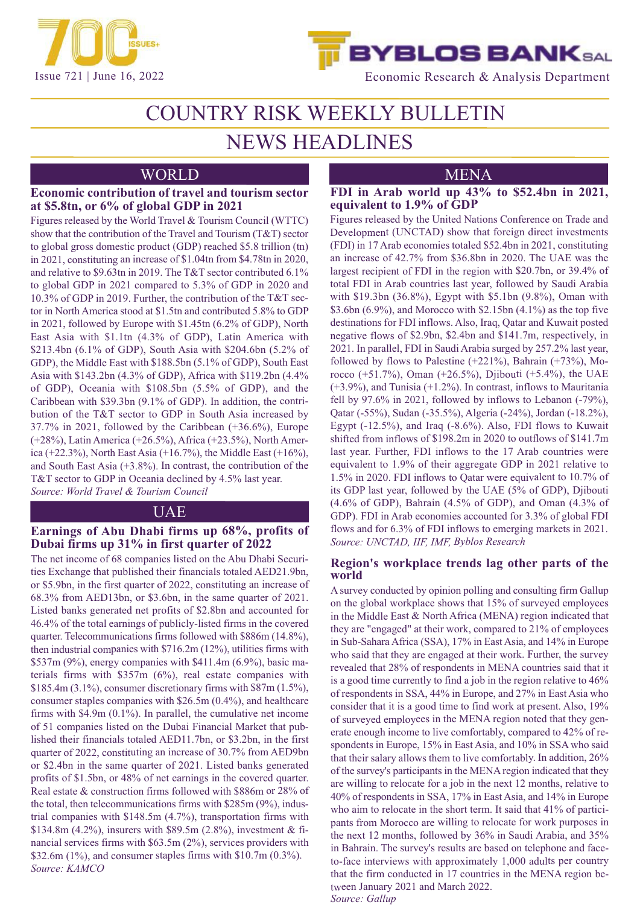



Issue 721 | June 16, 2022 Economic Research & Analysis Department

# COUNTRY RISK WEEKLY BULLETIN

# NEWS HEADLINES

# WORLD MENA

# **Economic contribution of travel and tourism sector at \$5.8tn, or 6% of global GDP in 2021**

Figures released by the World Travel & Tourism Council (WTTC) show that the contribution of the Travel and Tourism (T&T) sector to global gross domestic product (GDP) reached \$5.8 trillion (tn) in 2021, constituting an increase of \$1.04tn from \$4.78tn in 2020, and relative to \$9.63tn in 2019. The T&T sector contributed 6.1% to global GDP in 2021 compared to 5.3% of GDP in 2020 and 10.3% of GDP in 2019. Further, the contribution of the T&T sector in North America stood at \$1.5tn and contributed 5.8% to GDP in 2021, followed by Europe with \$1.45tn (6.2% of GDP), North East Asia with \$1.1tn (4.3% of GDP), Latin America with \$213.4bn (6.1% of GDP), South Asia with \$204.6bn (5.2% of GDP), the Middle East with \$188.5bn (5.1% of GDP), South East Asia with \$143.2bn (4.3% of GDP), Africa with \$119.2bn (4.4% of GDP), Oceania with \$108.5bn (5.5% of GDP), and the Caribbean with \$39.3bn (9.1% of GDP). In addition, the contribution of the T&T sector to GDP in South Asia increased by 37.7% in 2021, followed by the Caribbean (+36.6%), Europe (+28%), Latin America (+26.5%), Africa (+23.5%), North America (+22.3%), North East Asia (+16.7%), the Middle East (+16%), and South East Asia (+3.8%). In contrast, the contribution of the T&T sector to GDP in Oceania declined by 4.5% last year. *Source: World Travel & Tourism Council*

# **UAE**

# **Earnings of Abu Dhabi firms up 68%, profits of Dubai firms up 31% in first quarter of 2022**

The net income of 68 companies listed on the Abu Dhabi Securities Exchange that published their financials totaled AED21.9bn, or \$5.9bn, in the first quarter of 2022, constituting an increase of 68.3% from AED13bn, or \$3.6bn, in the same quarter of 2021. Listed banks generated net profits of \$2.8bn and accounted for 46.4% of the total earnings of publicly-listed firms in the covered quarter. Telecommunications firms followed with \$886m (14.8%), then industrial companies with \$716.2m (12%), utilities firms with \$537m (9%), energy companies with \$411.4m (6.9%), basic materials firms with \$357m (6%), real estate companies with \$185.4m (3.1%), consumer discretionary firms with  $87m(1.5\%)$ , consumer staples companies with \$26.5m (0.4%), and healthcare firms with \$4.9m (0.1%). In parallel, the cumulative net income of 51 companies listed on the Dubai Financial Market that published their financials totaled AED11.7bn, or \$3.2bn, in the first quarter of 2022, constituting an increase of 30.7% from AED9bn or \$2.4bn in the same quarter of 2021. Listed banks generated profits of \$1.5bn, or 48% of net earnings in the covered quarter. Real estate & construction firms followed with \$886m or 28% of the total, then telecommunications firms with \$285m (9%), industrial companies with \$148.5m (4.7%), transportation firms with \$134.8m (4.2%), insurers with \$89.5m (2.8%), investment & financial services firms with \$63.5m (2%), services providers with \$32.6m (1%), and consumer staples firms with \$10.7m (0.3%). *Source: KAMCO*

# **FDI in Arab world up 43% to \$52.4bn in 2021, equivalent to 1.9% of GDP**

Figures released by the United Nations Conference on Trade and Development (UNCTAD) show that foreign direct investments (FDI) in 17 Arab economies totaled \$52.4bn in 2021, constituting an increase of 42.7% from \$36.8bn in 2020. The UAE was the largest recipient of FDI in the region with \$20.7bn, or 39.4% of total FDI in Arab countries last year, followed by Saudi Arabia with \$19.3bn (36.8%), Egypt with \$5.1bn (9.8%), Oman with \$3.6bn (6.9%), and Morocco with \$2.15bn (4.1%) as the top five destinations for FDI inflows. Also, Iraq, Qatar and Kuwait posted negative flows of \$2.9bn, \$2.4bn and \$141.7m, respectively, in 2021. In parallel, FDI in Saudi Arabia surged by 257.2% last year, followed by flows to Palestine  $(+221\%)$ , Bahrain  $(+73\%)$ , Morocco (+51.7%), Oman (+26.5%), Djibouti (+5.4%), the UAE (+3.9%), and Tunisia (+1.2%). In contrast, inflows to Mauritania fell by 97.6% in 2021, followed by inflows to Lebanon (-79%), Qatar (-55%), Sudan (-35.5%), Algeria (-24%), Jordan (-18.2%), Egypt (-12.5%), and Iraq (-8.6%). Also, FDI flows to Kuwait shifted from inflows of \$198.2m in 2020 to outflows of \$141.7m last year. Further, FDI inflows to the 17 Arab countries were equivalent to 1.9% of their aggregate GDP in 2021 relative to 1.5% in 2020. FDI inflows to Qatar were equivalent to 10.7% of its GDP last year, followed by the UAE (5% of GDP), Djibouti (4.6% of GDP), Bahrain (4.5% of GDP), and Oman (4.3% of GDP). FDI in Arab economies accounted for 3.3% of global FDI flows and for 6.3% of FDI inflows to emerging markets in 2021. *Source: UNCTAD, IIF, IMF, Byblos Research*

# **Region's workplace trends lag other parts of the world**

A survey conducted by opinion polling and consulting firm Gallup on the global workplace shows that 15% of surveyed employees in the Middle East & North Africa (MENA) region indicated that they are "engaged" at their work, compared to 21% of employees in Sub-Sahara Africa (SSA), 17% in East Asia, and 14% in Europe who said that they are engaged at their work. Further, the survey revealed that 28% of respondents in MENA countries said that it is a good time currently to find a job in the region relative to 46% of respondents in SSA, 44% in Europe, and 27% in East Asia who consider that it is a good time to find work at present. Also, 19% of surveyed employees in the MENA region noted that they generate enough income to live comfortably, compared to 42% of respondents in Europe, 15% in East Asia, and 10% in SSA who said that their salary allows them to live comfortably. In addition, 26% of the survey's participants in the MENA region indicated that they are willing to relocate for a job in the next 12 months, relative to 40% of respondents in SSA, 17% in East Asia, and 14% in Europe who aim to relocate in the short term. It said that 41% of participants from Morocco are willing to relocate for work purposes in the next 12 months, followed by 36% in Saudi Arabia, and 35% in Bahrain. The survey's results are based on telephone and faceto-face interviews with approximately 1,000 adults per country that the firm conducted in 17 countries in the MENA region between January 2021 and March 2022. *Source: Gallup*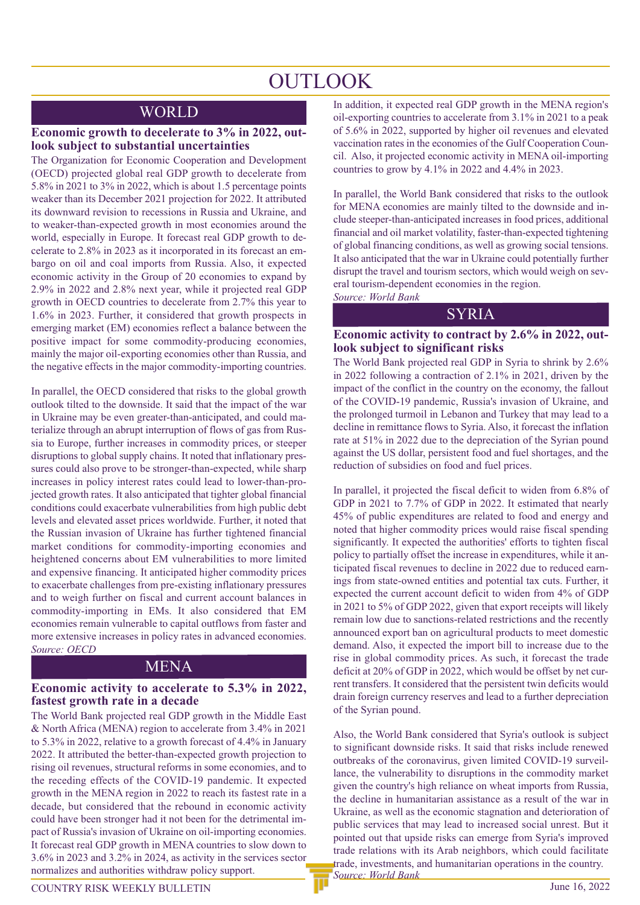# **OUTLOOK**

# WORLD

### **Economic growth to decelerate to 3% in 2022, outlook subject to substantial uncertainties**

The Organization for Economic Cooperation and Development (OECD) projected global real GDP growth to decelerate from 5.8% in 2021 to 3% in 2022, which is about 1.5 percentage points weaker than its December 2021 projection for 2022. It attributed its downward revision to recessions in Russia and Ukraine, and to weaker-than-expected growth in most economies around the world, especially in Europe. It forecast real GDP growth to decelerate to 2.8% in 2023 as it incorporated in its forecast an embargo on oil and coal imports from Russia. Also, it expected economic activity in the Group of 20 economies to expand by 2.9% in 2022 and 2.8% next year, while it projected real GDP growth in OECD countries to decelerate from 2.7% this year to 1.6% in 2023. Further, it considered that growth prospects in emerging market (EM) economies reflect a balance between the positive impact for some commodity-producing economies, mainly the major oil-exporting economies other than Russia, and the negative effects in the major commodity-importing countries.

In parallel, the OECD considered that risks to the global growth outlook tilted to the downside. It said that the impact of the war in Ukraine may be even greater-than-anticipated, and could materialize through an abrupt interruption of flows of gas from Russia to Europe, further increases in commodity prices, or steeper disruptions to global supply chains. It noted that inflationary pressures could also prove to be stronger-than-expected, while sharp increases in policy interest rates could lead to lower-than-projected growth rates. It also anticipated that tighter global financial conditions could exacerbate vulnerabilities from high public debt levels and elevated asset prices worldwide. Further, it noted that the Russian invasion of Ukraine has further tightened financial market conditions for commodity-importing economies and heightened concerns about EM vulnerabilities to more limited and expensive financing. It anticipated higher commodity prices to exacerbate challenges from pre-existing inflationary pressures and to weigh further on fiscal and current account balances in commodity-importing in EMs. It also considered that EM economies remain vulnerable to capital outflows from faster and more extensive increases in policy rates in advanced economies. *Source: OECD*

# MENA

# **Economic activity to accelerate to 5.3% in 2022, fastest growth rate in a decade**

The World Bank projected real GDP growth in the Middle East & North Africa (MENA) region to accelerate from 3.4% in 2021 to 5.3% in 2022, relative to a growth forecast of 4.4% in January 2022. It attributed the better-than-expected growth projection to rising oil revenues, structural reforms in some economies, and to the receding effects of the COVID-19 pandemic. It expected growth in the MENA region in 2022 to reach its fastest rate in a decade, but considered that the rebound in economic activity could have been stronger had it not been for the detrimental impact of Russia's invasion of Ukraine on oil-importing economies. It forecast real GDP growth in MENA countries to slow down to 3.6% in 2023 and 3.2% in 2024, as activity in the services sector normalizes and authorities withdraw policy support.

In addition, it expected real GDP growth in the MENA region's oil-exporting countries to accelerate from 3.1% in 2021 to a peak of 5.6% in 2022, supported by higher oil revenues and elevated vaccination rates in the economies of the Gulf Cooperation Council. Also, it projected economic activity in MENA oil-importing countries to grow by 4.1% in 2022 and 4.4% in 2023.

In parallel, the World Bank considered that risks to the outlook for MENA economies are mainly tilted to the downside and include steeper-than-anticipated increases in food prices, additional financial and oil market volatility, faster-than-expected tightening of global financing conditions, as well as growing social tensions. It also anticipated that the war in Ukraine could potentially further disrupt the travel and tourism sectors, which would weigh on several tourism-dependent economies in the region.

*Source: World Bank*

# **SYRIA**

### **Economic activity to contract by 2.6% in 2022, outlook subject to significant risks**

The World Bank projected real GDP in Syria to shrink by 2.6% in 2022 following a contraction of 2.1% in 2021, driven by the impact of the conflict in the country on the economy, the fallout of the COVID-19 pandemic, Russia's invasion of Ukraine, and the prolonged turmoil in Lebanon and Turkey that may lead to a decline in remittance flows to Syria. Also, it forecast the inflation rate at 51% in 2022 due to the depreciation of the Syrian pound against the US dollar, persistent food and fuel shortages, and the reduction of subsidies on food and fuel prices.

In parallel, it projected the fiscal deficit to widen from 6.8% of GDP in 2021 to 7.7% of GDP in 2022. It estimated that nearly 45% of public expenditures are related to food and energy and noted that higher commodity prices would raise fiscal spending significantly. It expected the authorities' efforts to tighten fiscal policy to partially offset the increase in expenditures, while it anticipated fiscal revenues to decline in 2022 due to reduced earnings from state-owned entities and potential tax cuts. Further, it expected the current account deficit to widen from 4% of GDP in 2021 to 5% of GDP 2022, given that export receipts will likely remain low due to sanctions-related restrictions and the recently announced export ban on agricultural products to meet domestic demand. Also, it expected the import bill to increase due to the rise in global commodity prices. As such, it forecast the trade deficit at 20% of GDP in 2022, which would be offset by net current transfers. It considered that the persistent twin deficits would drain foreign currency reserves and lead to a further depreciation of the Syrian pound.

Also, the World Bank considered that Syria's outlook is subject to significant downside risks. It said that risks include renewed outbreaks of the coronavirus, given limited COVID-19 surveillance, the vulnerability to disruptions in the commodity market given the country's high reliance on wheat imports from Russia, the decline in humanitarian assistance as a result of the war in Ukraine, as well as the economic stagnation and deterioration of public services that may lead to increased social unrest. But it pointed out that upside risks can emerge from Syria's improved trade relations with its Arab neighbors, which could facilitate trade, investments, and humanitarian operations in the country. *Source: World Bank*

# COUNTRY RISK WEEKLY BULLETIN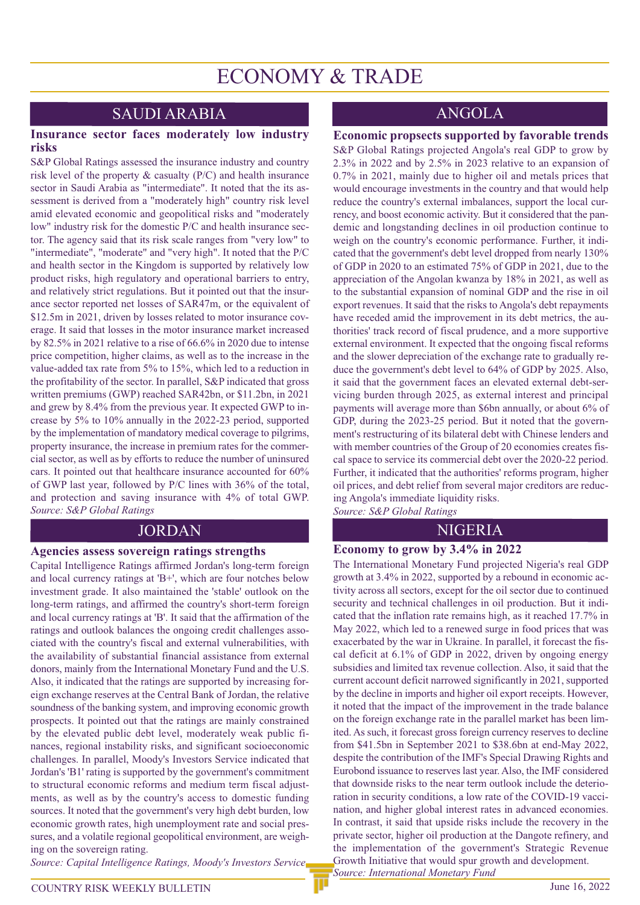# ECONOMY & TRADE

# SAUDI ARABIA

### **Insurance sector faces moderately low industry risks**

S&P Global Ratings assessed the insurance industry and country risk level of the property & casualty (P/C) and health insurance sector in Saudi Arabia as "intermediate". It noted that the its assessment is derived from a "moderately high" country risk level amid elevated economic and geopolitical risks and "moderately low" industry risk for the domestic P/C and health insurance sector. The agency said that its risk scale ranges from "very low" to "intermediate", "moderate" and "very high". It noted that the P/C and health sector in the Kingdom is supported by relatively low product risks, high regulatory and operational barriers to entry, and relatively strict regulations. But it pointed out that the insurance sector reported net losses of SAR47m, or the equivalent of \$12.5m in 2021, driven by losses related to motor insurance coverage. It said that losses in the motor insurance market increased by 82.5% in 2021 relative to a rise of 66.6% in 2020 due to intense price competition, higher claims, as well as to the increase in the value-added tax rate from 5% to 15%, which led to a reduction in the profitability of the sector. In parallel, S&P indicated that gross written premiums (GWP) reached SAR42bn, or \$11.2bn, in 2021 and grew by 8.4% from the previous year. It expected GWP to increase by 5% to 10% annually in the 2022-23 period, supported by the implementation of mandatory medical coverage to pilgrims, property insurance, the increase in premium rates for the commercial sector, as well as by efforts to reduce the number of uninsured cars. It pointed out that healthcare insurance accounted for 60% of GWP last year, followed by P/C lines with 36% of the total, and protection and saving insurance with 4% of total GWP. *Source: S&P Global Ratings*

#### **Agencies assess sovereign ratings strengths**

Capital Intelligence Ratings affirmed Jordan's long-term foreign and local currency ratings at 'B+', which are four notches below investment grade. It also maintained the 'stable' outlook on the long-term ratings, and affirmed the country's short-term foreign and local currency ratings at 'B'. It said that the affirmation of the ratings and outlook balances the ongoing credit challenges associated with the country's fiscal and external vulnerabilities, with the availability of substantial financial assistance from external donors, mainly from the International Monetary Fund and the U.S. Also, it indicated that the ratings are supported by increasing foreign exchange reserves at the Central Bank of Jordan, the relative soundness of the banking system, and improving economic growth prospects. It pointed out that the ratings are mainly constrained by the elevated public debt level, moderately weak public finances, regional instability risks, and significant socioeconomic challenges. In parallel, Moody's Investors Service indicated that Jordan's 'B1' rating is supported by the government's commitment to structural economic reforms and medium term fiscal adjustments, as well as by the country's access to domestic funding sources. It noted that the government's very high debt burden, low economic growth rates, high unemployment rate and social pressures, and a volatile regional geopolitical environment, are weighing on the sovereign rating.

*Source: Capital Intelligence Ratings, Moody's Investors Service*

# ANGOLA

#### **Economic propsects supported by favorable trends**

S&P Global Ratings projected Angola's real GDP to grow by 2.3% in 2022 and by 2.5% in 2023 relative to an expansion of 0.7% in 2021, mainly due to higher oil and metals prices that would encourage investments in the country and that would help reduce the country's external imbalances, support the local currency, and boost economic activity. But it considered that the pandemic and longstanding declines in oil production continue to weigh on the country's economic performance. Further, it indicated that the government's debt level dropped from nearly 130% of GDP in 2020 to an estimated 75% of GDP in 2021, due to the appreciation of the Angolan kwanza by 18% in 2021, as well as to the substantial expansion of nominal GDP and the rise in oil export revenues. It said that the risks to Angola's debt repayments have receded amid the improvement in its debt metrics, the authorities' track record of fiscal prudence, and a more supportive external environment. It expected that the ongoing fiscal reforms and the slower depreciation of the exchange rate to gradually reduce the government's debt level to 64% of GDP by 2025. Also, it said that the government faces an elevated external debt-servicing burden through 2025, as external interest and principal payments will average more than \$6bn annually, or about 6% of GDP, during the 2023-25 period. But it noted that the government's restructuring of its bilateral debt with Chinese lenders and with member countries of the Group of 20 economies creates fiscal space to service its commercial debt over the 2020-22 period. Further, it indicated that the authorities' reforms program, higher oil prices, and debt relief from several major creditors are reducing Angola's immediate liquidity risks.

*Source: S&P Global Ratings*

# JORDAN NIGERIA

# **Economy to grow by 3.4% in 2022**

The International Monetary Fund projected Nigeria's real GDP growth at 3.4% in 2022, supported by a rebound in economic activity across all sectors, except for the oil sector due to continued security and technical challenges in oil production. But it indicated that the inflation rate remains high, as it reached 17.7% in May 2022, which led to a renewed surge in food prices that was exacerbated by the war in Ukraine. In parallel, it forecast the fiscal deficit at 6.1% of GDP in 2022, driven by ongoing energy subsidies and limited tax revenue collection. Also, it said that the current account deficit narrowed significantly in 2021, supported by the decline in imports and higher oil export receipts. However, it noted that the impact of the improvement in the trade balance on the foreign exchange rate in the parallel market has been limited. As such, it forecast gross foreign currency reserves to decline from \$41.5bn in September 2021 to \$38.6bn at end-May 2022, despite the contribution of the IMF's Special Drawing Rights and Eurobond issuance to reserves last year. Also, the IMF considered that downside risks to the near term outlook include the deterioration in security conditions, a low rate of the COVID-19 vaccination, and higher global interest rates in advanced economies. In contrast, it said that upside risks include the recovery in the private sector, higher oil production at the Dangote refinery, and the implementation of the government's Strategic Revenue Growth Initiative that would spur growth and development. *Source: International Monetary Fund*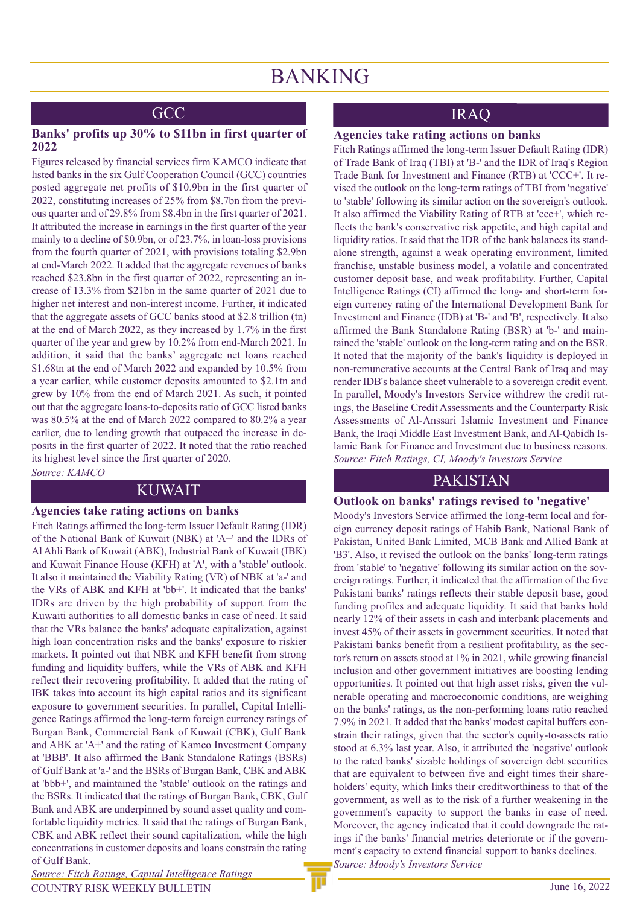# **GCC**

### **Banks' profits up 30% to \$11bn in first quarter of 2022**

Figures released by financial services firm KAMCO indicate that listed banks in the six Gulf Cooperation Council (GCC) countries posted aggregate net profits of \$10.9bn in the first quarter of 2022, constituting increases of 25% from \$8.7bn from the previous quarter and of 29.8% from \$8.4bn in the first quarter of 2021. It attributed the increase in earnings in the first quarter of the year mainly to a decline of \$0.9bn, or of 23.7%, in loan-loss provisions from the fourth quarter of 2021, with provisions totaling \$2.9bn at end-March 2022. It added that the aggregate revenues of banks reached \$23.8bn in the first quarter of 2022, representing an increase of 13.3% from \$21bn in the same quarter of 2021 due to higher net interest and non-interest income. Further, it indicated that the aggregate assets of GCC banks stood at \$2.8 trillion (tn) at the end of March 2022, as they increased by 1.7% in the first quarter of the year and grew by 10.2% from end-March 2021. In addition, it said that the banks' aggregate net loans reached \$1.68tn at the end of March 2022 and expanded by 10.5% from a year earlier, while customer deposits amounted to \$2.1tn and grew by 10% from the end of March 2021. As such, it pointed out that the aggregate loans-to-deposits ratio of GCC listed banks was 80.5% at the end of March 2022 compared to 80.2% a year earlier, due to lending growth that outpaced the increase in deposits in the first quarter of 2022. It noted that the ratio reached its highest level since the first quarter of 2020.

*Source: KAMCO*

#### **Agencies take rating actions on banks**

Fitch Ratings affirmed the long-term Issuer Default Rating (IDR) of the National Bank of Kuwait (NBK) at 'A+' and the IDRs of Al Ahli Bank of Kuwait (ABK), Industrial Bank of Kuwait (IBK) and Kuwait Finance House (KFH) at 'A', with a 'stable' outlook. It also it maintained the Viability Rating (VR) of NBK at 'a-' and the VRs of ABK and KFH at 'bb+'. It indicated that the banks' IDRs are driven by the high probability of support from the Kuwaiti authorities to all domestic banks in case of need. It said that the VRs balance the banks' adequate capitalization, against high loan concentration risks and the banks' exposure to riskier markets. It pointed out that NBK and KFH benefit from strong funding and liquidity buffers, while the VRs of ABK and KFH reflect their recovering profitability. It added that the rating of IBK takes into account its high capital ratios and its significant exposure to government securities. In parallel, Capital Intelligence Ratings affirmed the long-term foreign currency ratings of Burgan Bank, Commercial Bank of Kuwait (CBK), Gulf Bank and ABK at 'A+' and the rating of Kamco Investment Company at 'BBB'. It also affirmed the Bank Standalone Ratings (BSRs) of Gulf Bank at 'a-' and the BSRs of Burgan Bank, CBK and ABK at 'bbb+', and maintained the 'stable' outlook on the ratings and the BSRs. It indicated that the ratings of Burgan Bank, CBK, Gulf Bank and ABK are underpinned by sound asset quality and comfortable liquidity metrics. It said that the ratings of Burgan Bank, CBK and ABK reflect their sound capitalization, while the high concentrations in customer deposits and loans constrain the rating of Gulf Bank.

COUNTRY RISK WEEKLY BULLETIN *Source: Fitch Ratings, Capital Intelligence Ratings*

# IRAQ

### **Agencies take rating actions on banks**

Fitch Ratings affirmed the long-term Issuer Default Rating (IDR) of Trade Bank of Iraq (TBI) at 'B-' and the IDR of Iraq's Region Trade Bank for Investment and Finance (RTB) at 'CCC+'. It revised the outlook on the long-term ratings of TBI from 'negative' to 'stable' following its similar action on the sovereign's outlook. It also affirmed the Viability Rating of RTB at 'ccc+', which reflects the bank's conservative risk appetite, and high capital and liquidity ratios. It said that the IDR of the bank balances its standalone strength, against a weak operating environment, limited franchise, unstable business model, a volatile and concentrated customer deposit base, and weak profitability. Further, Capital Intelligence Ratings (CI) affirmed the long- and short-term foreign currency rating of the International Development Bank for Investment and Finance (IDB) at 'B-' and 'B', respectively. It also affirmed the Bank Standalone Rating (BSR) at 'b-' and maintained the 'stable' outlook on the long-term rating and on the BSR. It noted that the majority of the bank's liquidity is deployed in non-remunerative accounts at the Central Bank of Iraq and may render IDB's balance sheet vulnerable to a sovereign credit event. In parallel, Moody's Investors Service withdrew the credit ratings, the Baseline Credit Assessments and the Counterparty Risk Assessments of Al-Anssari Islamic Investment and Finance Bank, the Iraqi Middle East Investment Bank, and Al-Qabidh Islamic Bank for Finance and Investment due to business reasons. *Source: Fitch Ratings, CI, Moody's Investors Service* 

# PAKISTAN KUWAIT

# **Outlook on banks' ratings revised to 'negative'**

Moody's Investors Service affirmed the long-term local and foreign currency deposit ratings of Habib Bank, National Bank of Pakistan, United Bank Limited, MCB Bank and Allied Bank at 'B3'. Also, it revised the outlook on the banks' long-term ratings from 'stable' to 'negative' following its similar action on the sovereign ratings. Further, it indicated that the affirmation of the five Pakistani banks' ratings reflects their stable deposit base, good funding profiles and adequate liquidity. It said that banks hold nearly 12% of their assets in cash and interbank placements and invest 45% of their assets in government securities. It noted that Pakistani banks benefit from a resilient profitability, as the sector's return on assets stood at 1% in 2021, while growing financial inclusion and other government initiatives are boosting lending opportunities. It pointed out that high asset risks, given the vulnerable operating and macroeconomic conditions, are weighing on the banks' ratings, as the non-performing loans ratio reached 7.9% in 2021. It added that the banks' modest capital buffers constrain their ratings, given that the sector's equity-to-assets ratio stood at 6.3% last year. Also, it attributed the 'negative' outlook to the rated banks' sizable holdings of sovereign debt securities that are equivalent to between five and eight times their shareholders' equity, which links their creditworthiness to that of the government, as well as to the risk of a further weakening in the government's capacity to support the banks in case of need. Moreover, the agency indicated that it could downgrade the ratings if the banks' financial metrics deteriorate or if the government's capacity to extend financial support to banks declines. *Source: Moody's Investors Service*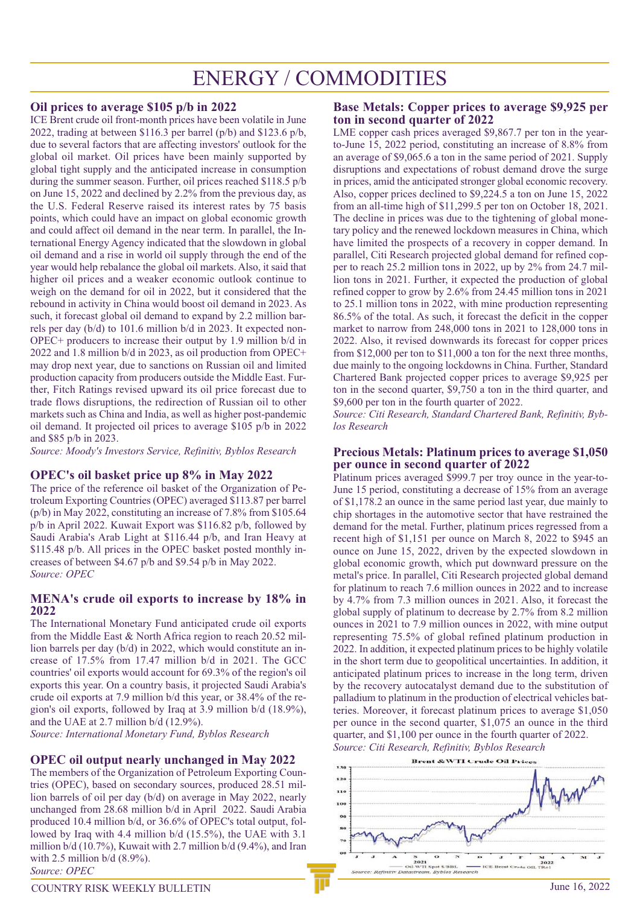# ENERGY / COMMODITIES

# **Oil prices to average \$105 p/b in 2022**

ICE Brent crude oil front-month prices have been volatile in June 2022, trading at between \$116.3 per barrel (p/b) and \$123.6 p/b, due to several factors that are affecting investors' outlook for the global oil market. Oil prices have been mainly supported by global tight supply and the anticipated increase in consumption during the summer season. Further, oil prices reached \$118.5 p/b on June 15, 2022 and declined by 2.2% from the previous day, as the U.S. Federal Reserve raised its interest rates by 75 basis points, which could have an impact on global economic growth and could affect oil demand in the near term. In parallel, the International Energy Agency indicated that the slowdown in global oil demand and a rise in world oil supply through the end of the year would help rebalance the global oil markets. Also, it said that higher oil prices and a weaker economic outlook continue to weigh on the demand for oil in 2022, but it considered that the rebound in activity in China would boost oil demand in 2023. As such, it forecast global oil demand to expand by 2.2 million barrels per day (b/d) to 101.6 million b/d in 2023. It expected non-OPEC+ producers to increase their output by 1.9 million b/d in 2022 and 1.8 million b/d in 2023, as oil production from OPEC+ may drop next year, due to sanctions on Russian oil and limited production capacity from producers outside the Middle East. Further, Fitch Ratings revised upward its oil price forecast due to trade flows disruptions, the redirection of Russian oil to other markets such as China and India, as well as higher post-pandemic oil demand. It projected oil prices to average \$105 p/b in 2022 and \$85 p/b in 2023.

*Source: Moody's Investors Service, Refinitiv, Byblos Research*

# **OPEC's oil basket price up 8% in May 2022**

The price of the reference oil basket of the Organization of Petroleum Exporting Countries (OPEC) averaged \$113.87 per barrel (p/b) in May 2022, constituting an increase of 7.8% from \$105.64 p/b in April 2022. Kuwait Export was \$116.82 p/b, followed by Saudi Arabia's Arab Light at \$116.44 p/b, and Iran Heavy at \$115.48 p/b. All prices in the OPEC basket posted monthly increases of between \$4.67 p/b and \$9.54 p/b in May 2022. *Source: OPEC*

# **MENA's crude oil exports to increase by 18% in 2022**

The International Monetary Fund anticipated crude oil exports from the Middle East & North Africa region to reach 20.52 million barrels per day (b/d) in 2022, which would constitute an increase of 17.5% from 17.47 million b/d in 2021. The GCC countries' oil exports would account for 69.3% of the region's oil exports this year. On a country basis, it projected Saudi Arabia's crude oil exports at 7.9 million b/d this year, or 38.4% of the region's oil exports, followed by Iraq at 3.9 million b/d (18.9%), and the UAE at 2.7 million b/d (12.9%).

*Source: International Monetary Fund, Byblos Research*

# **OPEC oil output nearly unchanged in May 2022**

The members of the Organization of Petroleum Exporting Countries (OPEC), based on secondary sources, produced 28.51 million barrels of oil per day (b/d) on average in May 2022, nearly unchanged from 28.68 million b/d in April 2022. Saudi Arabia produced 10.4 million b/d, or 36.6% of OPEC's total output, followed by Iraq with 4.4 million b/d (15.5%), the UAE with 3.1 million  $b/d$  (10.7%), Kuwait with 2.7 million  $b/d$  (9.4%), and Iran with 2.5 million  $b/d$  (8.9%). *Source: OPEC*

# **Base Metals: Copper prices to average \$9,925 per ton in second quarter of 2022**

LME copper cash prices averaged \$9,867.7 per ton in the yearto-June 15, 2022 period, constituting an increase of 8.8% from an average of \$9,065.6 a ton in the same period of 2021. Supply disruptions and expectations of robust demand drove the surge in prices, amid the anticipated stronger global economic recovery. Also, copper prices declined to \$9,224.5 a ton on June 15, 2022 from an all-time high of \$11,299.5 per ton on October 18, 2021. The decline in prices was due to the tightening of global monetary policy and the renewed lockdown measures in China, which have limited the prospects of a recovery in copper demand. In parallel, Citi Research projected global demand for refined copper to reach 25.2 million tons in 2022, up by 2% from 24.7 million tons in 2021. Further, it expected the production of global refined copper to grow by 2.6% from 24.45 million tons in 2021 to 25.1 million tons in 2022, with mine production representing 86.5% of the total. As such, it forecast the deficit in the copper market to narrow from 248,000 tons in 2021 to 128,000 tons in 2022. Also, it revised downwards its forecast for copper prices from \$12,000 per ton to \$11,000 a ton for the next three months, due mainly to the ongoing lockdowns in China. Further, Standard Chartered Bank projected copper prices to average \$9,925 per ton in the second quarter, \$9,750 a ton in the third quarter, and \$9,600 per ton in the fourth quarter of 2022.

*Source: Citi Research, Standard Chartered Bank, Refinitiv, Byblos Research* 

# **Precious Metals: Platinum prices to average \$1,050 per ounce in second quarter of 2022**

Platinum prices averaged \$999.7 per troy ounce in the year-to-June 15 period, constituting a decrease of 15% from an average of \$1,178.2 an ounce in the same period last year, due mainly to chip shortages in the automotive sector that have restrained the demand for the metal. Further, platinum prices regressed from a recent high of \$1,151 per ounce on March 8, 2022 to \$945 an ounce on June 15, 2022, driven by the expected slowdown in global economic growth, which put downward pressure on the metal's price. In parallel, Citi Research projected global demand for platinum to reach 7.6 million ounces in 2022 and to increase by 4.7% from 7.3 million ounces in 2021. Also, it forecast the global supply of platinum to decrease by 2.7% from 8.2 million ounces in 2021 to 7.9 million ounces in 2022, with mine output representing 75.5% of global refined platinum production in 2022. In addition, it expected platinum prices to be highly volatile in the short term due to geopolitical uncertainties. In addition, it anticipated platinum prices to increase in the long term, driven by the recovery autocatalyst demand due to the substitution of palladium to platinum in the production of electrical vehicles batteries. Moreover, it forecast platinum prices to average \$1,050 per ounce in the second quarter, \$1,075 an ounce in the third quarter, and \$1,100 per ounce in the fourth quarter of 2022. *Source: Citi Research, Refinitiv, Byblos Research*



#### COUNTRY RISK WEEKLY BULLETIN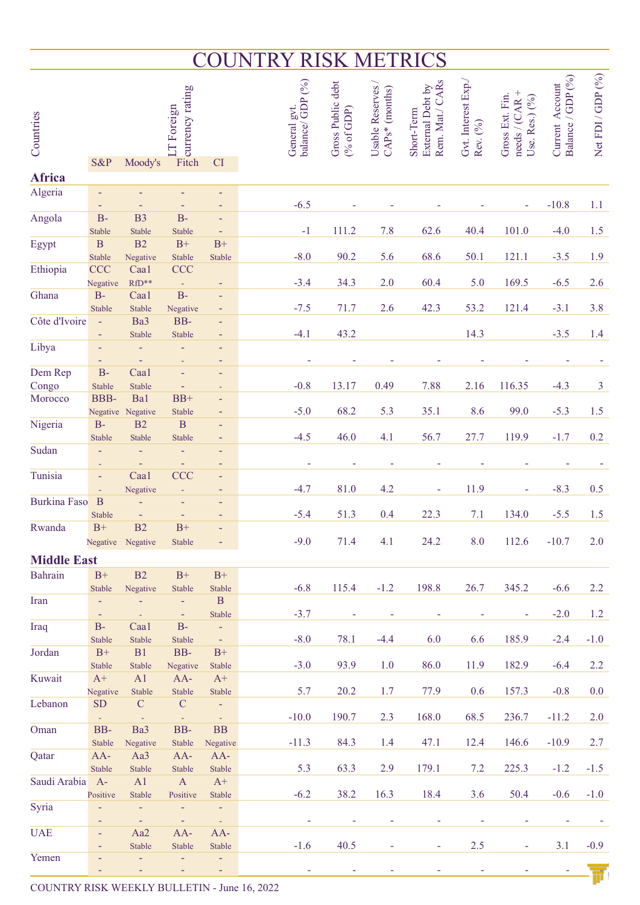# COUNTRY RISK METRICS

| Countries           | S&P                    | Moody's                  | Trining<br>Fitch<br>Fitch<br>LT Foreign | CI                               | General gvt. | balance/GDP (%) | Gross Public debt<br>(% of GDP) | Usable Reserves /<br>$CAPs*$ (months) | Rem. Mat./ CARs<br>External Debt by<br>Short-Term | Gvt. Interest Exp./<br>Rev. (%) | needs / (CAR +<br>Gross Ext. Fin.<br>Use. Res.) (%) | Balance / GDP (%)<br>Current Account | Net FDI / GDP (%) |
|---------------------|------------------------|--------------------------|-----------------------------------------|----------------------------------|--------------|-----------------|---------------------------------|---------------------------------------|---------------------------------------------------|---------------------------------|-----------------------------------------------------|--------------------------------------|-------------------|
| Africa              |                        |                          |                                         |                                  |              |                 |                                 |                                       |                                                   |                                 |                                                     |                                      |                   |
| Algeria             | $\equiv$               |                          |                                         | ٠                                |              |                 |                                 |                                       |                                                   |                                 |                                                     |                                      |                   |
| Angola              | $\equiv$<br>$B -$      | B <sub>3</sub>           | $B -$                                   | Ξ<br>٠                           |              | $-6.5$          |                                 |                                       |                                                   |                                 |                                                     | $-10.8$                              | 1.1               |
|                     | Stable                 | Stable                   | <b>Stable</b>                           | Ξ                                |              | $-1$            | 111.2                           | 7.8                                   | 62.6                                              | 40.4                            | 101.0                                               | $-4.0$                               | 1.5               |
| Egypt               | $\, {\bf B}$           | B2                       | $B+$                                    | $\mathrm{B}^{+}$                 |              |                 |                                 |                                       |                                                   |                                 |                                                     |                                      |                   |
|                     | Stable                 | Negative                 | Stable                                  | Stable                           |              | $-8.0$          | 90.2                            | 5.6                                   | 68.6                                              | 50.1                            | 121.1                                               | $-3.5$                               | 1.9               |
| Ethiopia            | <b>CCC</b><br>Negative | Caa1<br>$RfD**$          | <b>CCC</b><br>$\omega$                  | ÷                                |              | $-3.4$          | 34.3                            | 2.0                                   | 60.4                                              | 5.0                             | 169.5                                               | $-6.5$                               | 2.6               |
| Ghana               | $B-$                   | Caa1                     | $B -$                                   | $\equiv$                         |              |                 |                                 |                                       |                                                   |                                 |                                                     |                                      |                   |
|                     | Stable                 | Stable                   | Negative                                | Ξ                                |              | $-7.5$          | 71.7                            | 2.6                                   | 42.3                                              | 53.2                            | 121.4                                               | $-3.1$                               | 3.8               |
| Côte d'Ivoire       | $\equiv$               | Ba3                      | BB-                                     | ٠                                |              |                 |                                 |                                       |                                                   |                                 |                                                     |                                      |                   |
| Libya               | $\equiv$               | Stable                   | Stable                                  | ٠                                |              | $-4.1$          | 43.2                            |                                       |                                                   | 14.3                            |                                                     | $-3.5$                               | 1.4               |
|                     |                        |                          |                                         | ٠<br>Ξ                           |              |                 |                                 |                                       |                                                   |                                 |                                                     |                                      |                   |
| Dem Rep             | $B-$                   | Caal                     |                                         | ٠                                |              |                 |                                 |                                       |                                                   |                                 |                                                     |                                      |                   |
| Congo               | Stable                 | Stable                   |                                         |                                  |              | $-0.8$          | 13.17                           | 0.49                                  | 7.88                                              | 2.16                            | 116.35                                              | $-4.3$                               | 3                 |
| Morocco             | <b>BBB-</b>            | Ba1                      | $BB+$                                   | ٠                                |              |                 |                                 |                                       |                                                   |                                 |                                                     |                                      |                   |
| Nigeria             | $B-$                   | Negative Negative<br>B2  | Stable<br>$\mathbf B$                   | ٠<br>٠                           |              | $-5.0$          | 68.2                            | 5.3                                   | 35.1                                              | 8.6                             | 99.0                                                | $-5.3$                               | 1.5               |
|                     | <b>Stable</b>          | Stable                   | Stable                                  | ٠                                |              | $-4.5$          | 46.0                            | 4.1                                   | 56.7                                              | 27.7                            | 119.9                                               | $-1.7$                               | 0.2               |
| Sudan               |                        |                          | ٠                                       | ٠                                |              |                 |                                 |                                       |                                                   |                                 |                                                     |                                      |                   |
|                     |                        |                          | $\equiv$                                | ٠                                |              |                 |                                 |                                       |                                                   |                                 |                                                     |                                      |                   |
| Tunisia             | $\equiv$               | Caa1<br>Negative         | CCC<br>÷,                               | ٠<br>٠                           |              | $-4.7$          | 81.0                            | 4.2                                   |                                                   | 11.9                            |                                                     | $-8.3$                               | 0.5               |
| <b>Burkina Faso</b> | B                      |                          |                                         | ٠                                |              |                 |                                 |                                       |                                                   |                                 |                                                     |                                      |                   |
|                     | Stable                 | $\overline{\phantom{a}}$ | $\equiv$                                | ٠                                |              | $-5.4$          | 51.3                            | 0.4                                   | 22.3                                              | 7.1                             | 134.0                                               | $-5.5$                               | 1.5               |
| Rwanda              | $B+$                   | B2                       | $B+$                                    |                                  |              |                 |                                 |                                       |                                                   |                                 |                                                     |                                      |                   |
|                     |                        | Negative Negative        | <b>Stable</b>                           |                                  |              | $-9.0$          | 71.4                            | 4.1                                   | 24.2                                              | 8.0                             | 112.6                                               | $-10.7$                              | 2.0               |
| <b>Middle East</b>  |                        |                          |                                         |                                  |              |                 |                                 |                                       |                                                   |                                 |                                                     |                                      |                   |
| <b>Bahrain</b>      | $\mathrm{B}^{+}$       | B2                       | $B+$                                    | $B+$                             |              |                 |                                 |                                       |                                                   |                                 |                                                     |                                      |                   |
| Iran                | Stable<br>$\equiv$     | Negative<br>Ξ            | Stable<br>$\equiv$                      | Stable<br>$\, {\bf B}$           |              | $-6.8$          | 115.4                           | $-1.2$                                | 198.8                                             | 26.7                            | 345.2                                               | $-6.6$                               | 2.2               |
|                     | $\equiv$               | $\omega$                 | $\sim$                                  | Stable                           |              | $-3.7$          | ۰                               | ۰                                     |                                                   | ÷                               | ÷                                                   | $-2.0$                               | 1.2               |
| Iraq                | $B-$                   | Caa1                     | $B -$                                   | $\omega$                         |              |                 |                                 |                                       |                                                   |                                 |                                                     |                                      |                   |
|                     | <b>Stable</b>          | Stable                   | Stable                                  | $\sim$                           |              | $-8.0$          | 78.1                            | $-4.4$                                | 6.0                                               | 6.6                             | 185.9                                               | $-2.4$                               | $-1.0$            |
| Jordan              | $B+$<br>Stable         | B1<br>Stable             | BB-<br>Negative                         | $B+$<br>Stable                   |              | $-3.0$          | 93.9                            | 1.0                                   | 86.0                                              | 11.9                            | 182.9                                               | $-6.4$                               | 2.2               |
| Kuwait              | $A+$                   | A1                       | $AA-$                                   | $A+$                             |              |                 |                                 |                                       |                                                   |                                 |                                                     |                                      |                   |
|                     | Negative               | Stable                   | Stable                                  | Stable                           |              | 5.7             | 20.2                            | 1.7                                   | 77.9                                              | 0.6                             | 157.3                                               | $-0.8$                               | 0.0               |
| Lebanon             | <b>SD</b>              | $\mathbf C$              | ${\bf C}$                               | $\equiv$                         |              |                 |                                 |                                       |                                                   |                                 |                                                     |                                      |                   |
| Oman                | $\sim$<br>BB-          | - 4<br>Ba3               | $\sim$<br>BB-                           | $\omega_{\rm{eff}}$<br><b>BB</b> |              | $-10.0$         | 190.7                           | 2.3                                   | 168.0                                             | 68.5                            | 236.7                                               | $-11.2$                              | 2.0               |
|                     | Stable                 | Negative                 | <b>Stable</b>                           | Negative                         |              | $-11.3$         | 84.3                            | 1.4                                   | 47.1                                              | 12.4                            | 146.6                                               | $-10.9$                              | 2.7               |
| Qatar               | $AA-$                  | Aa3                      | $AA-$                                   | $AA-$                            |              |                 |                                 |                                       |                                                   |                                 |                                                     |                                      |                   |
|                     | Stable                 | Stable                   | <b>Stable</b>                           | Stable                           |              | 5.3             | 63.3                            | 2.9                                   | 179.1                                             | 7.2                             | 225.3                                               | $-1.2$                               | $-1.5$            |
| Saudi Arabia        | $A-$                   | A1                       | $\mathbf{A}$                            | $A+$                             |              |                 |                                 |                                       |                                                   |                                 |                                                     |                                      |                   |
| Syria               | Positive<br>Ξ          | Stable<br>$\equiv$       | Positive<br>$\equiv$                    | Stable<br>$\equiv$               |              | $-6.2$          | 38.2                            | 16.3                                  | 18.4                                              | 3.6                             | 50.4                                                | $-0.6$                               | $-1.0$            |
|                     | $\equiv$               | $\sim$                   | $\equiv$ .                              | $\omega_{\rm{eff}}$              |              | ٠               | ۰                               |                                       | ۰                                                 | ۰                               | ۰                                                   |                                      |                   |
| <b>UAE</b>          | $\equiv$               | Aa2                      | $AA-$                                   | AA-                              |              |                 |                                 |                                       |                                                   |                                 |                                                     |                                      |                   |
| Yemen               | $\equiv$<br>٠          | Stable<br>$\equiv$       | Stable<br>$\equiv$                      | Stable<br>Ξ                      |              | $-1.6$          | 40.5                            | ÷                                     | $\blacksquare$                                    | $2.5\,$                         | $\blacksquare$                                      | 3.1                                  | $-0.9$            |
|                     |                        |                          |                                         | Ξ                                |              |                 |                                 |                                       |                                                   |                                 |                                                     |                                      |                   |

COUNTRY RISK WEEKLY BULLETIN - June 16, 2022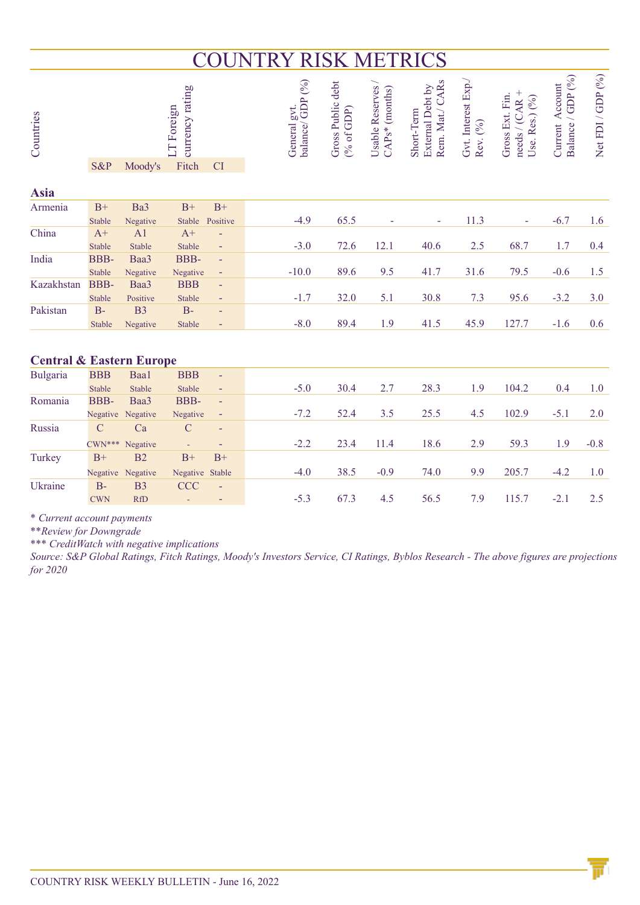# COUNTRY RISK METRICS

| Countries                           | currency rating<br>LT Foreign |                   |                 |                |  | balance/GDP (%)<br>General gvt. | Gross Public debt<br>$(%$ of GDP) | Usable Reserves<br>$CAPs*$ (months) | Rem. Mat./ CARs<br>External Debt by<br>Short-Term | Gvt. Interest Exp./<br>Rev. (%) | needs / (CAR +<br>Gross Ext. Fin.<br>Use. Res.) (%) | Balance / GDP (%)<br>Current Account | Net FDI / GDP (%) |
|-------------------------------------|-------------------------------|-------------------|-----------------|----------------|--|---------------------------------|-----------------------------------|-------------------------------------|---------------------------------------------------|---------------------------------|-----------------------------------------------------|--------------------------------------|-------------------|
|                                     | S&P                           | Moody's           | Fitch           | <b>CI</b>      |  |                                 |                                   |                                     |                                                   |                                 |                                                     |                                      |                   |
| <b>Asia</b>                         |                               |                   |                 |                |  |                                 |                                   |                                     |                                                   |                                 |                                                     |                                      |                   |
| Armenia                             | $B+$                          | Ba3               | $B+$            | $B+$           |  |                                 |                                   |                                     |                                                   |                                 |                                                     |                                      |                   |
|                                     | Stable                        | Negative          | Stable          | Positive       |  | $-4.9$                          | 65.5                              |                                     | $\overline{\phantom{a}}$                          | 11.3                            |                                                     | $-6.7$                               | 1.6               |
| China                               | $A+$                          | A <sub>1</sub>    | $A+$            |                |  |                                 |                                   |                                     |                                                   |                                 |                                                     |                                      |                   |
|                                     | Stable                        | Stable            | Stable          | $\blacksquare$ |  | $-3.0$                          | 72.6                              | 12.1                                | 40.6                                              | 2.5                             | 68.7                                                | 1.7                                  | 0.4               |
| India                               | <b>BBB-</b>                   | Baa3              | <b>BBB-</b>     | ÷,             |  |                                 |                                   |                                     |                                                   |                                 |                                                     |                                      |                   |
|                                     | Stable                        | Negative          | Negative        | Ξ              |  | $-10.0$                         | 89.6                              | 9.5                                 | 41.7                                              | 31.6                            | 79.5                                                | $-0.6$                               | 1.5               |
| Kazakhstan                          | <b>BBB-</b>                   | Baa3              | <b>BBB</b>      | $\blacksquare$ |  |                                 |                                   |                                     |                                                   |                                 |                                                     |                                      |                   |
|                                     | Stable                        | Positive          | Stable          | Ξ              |  | $-1.7$                          | 32.0                              | 5.1                                 | 30.8                                              | 7.3                             | 95.6                                                | $-3.2$                               | 3.0               |
| Pakistan                            | $B-$                          | B <sub>3</sub>    | $B-$            | ÷,             |  |                                 |                                   |                                     |                                                   |                                 |                                                     |                                      |                   |
|                                     | Stable                        | Negative          | <b>Stable</b>   | Ξ              |  | $-8.0$                          | 89.4                              | 1.9                                 | 41.5                                              | 45.9                            | 127.7                                               | $-1.6$                               | 0.6               |
| <b>Central &amp; Eastern Europe</b> |                               |                   |                 |                |  |                                 |                                   |                                     |                                                   |                                 |                                                     |                                      |                   |
| Bulgaria                            | <b>BBB</b>                    | Baa1              | <b>BBB</b>      | ÷,             |  |                                 |                                   |                                     |                                                   |                                 |                                                     |                                      |                   |
|                                     | Stable                        | Stable            | Stable          | Ξ              |  | $-5.0$                          | 30.4                              | 2.7                                 | 28.3                                              | 1.9                             | 104.2                                               | 0.4                                  | 1.0               |
| Romania                             | <b>BBB-</b>                   | Baa3              | <b>BBB-</b>     | $\blacksquare$ |  |                                 |                                   |                                     |                                                   |                                 |                                                     |                                      |                   |
|                                     | Negative                      | Negative          | Negative        | Ξ              |  | $-7.2$                          | 52.4                              | 3.5                                 | 25.5                                              | 4.5                             | 102.9                                               | $-5.1$                               | 2.0               |
| Russia                              | $\mathcal{C}$                 | Ca                | $\mathcal{C}$   | ٠              |  |                                 |                                   |                                     |                                                   |                                 |                                                     |                                      |                   |
|                                     | $CWN***$                      | Negative          | $\Box$          | Ξ              |  | $-2.2$                          | 23.4                              | 11.4                                | 18.6                                              | 2.9                             | 59.3                                                | 1.9                                  | $-0.8$            |
| Turkey                              | $B+$                          | B2                | $B+$            | $B+$           |  |                                 |                                   |                                     |                                                   |                                 |                                                     |                                      |                   |
|                                     |                               | Negative Negative | Negative Stable |                |  | $-4.0$                          | 38.5                              | $-0.9$                              | 74.0                                              | 9.9                             | 205.7                                               | $-4.2$                               | 1.0               |
| Ukraine                             | $B -$                         | B <sub>3</sub>    | <b>CCC</b>      |                |  |                                 |                                   |                                     |                                                   |                                 |                                                     |                                      |                   |
|                                     | <b>CWN</b>                    | <b>RfD</b>        |                 |                |  | $-5.3$                          | 67.3                              | 4.5                                 | 56.5                                              | 7.9                             | 115.7                                               | $-2.1$                               | 2.5               |

*\* Current account payments* 

*\*\*Review for Downgrade*

*\*\*\* CreditWatch with negative implications*

*Source: S&P Global Ratings, Fitch Ratings, Moody's Investors Service, CI Ratings, Byblos Research - The above figures are projections for 2020*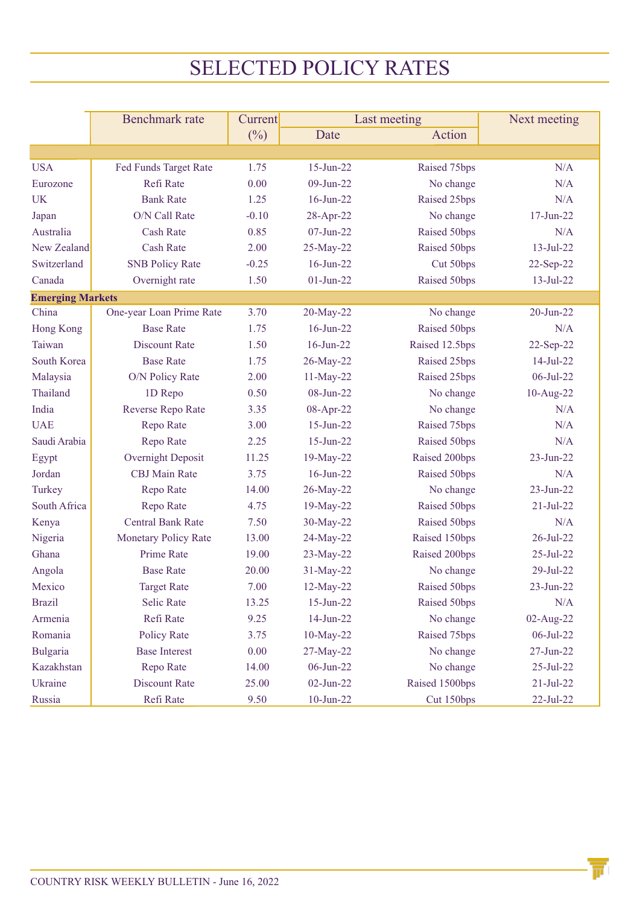# SELECTED POLICY RATES

|                         | <b>Benchmark</b> rate       | Current |               | Last meeting   | Next meeting    |  |  |
|-------------------------|-----------------------------|---------|---------------|----------------|-----------------|--|--|
|                         |                             | $(\%)$  | Date          | Action         |                 |  |  |
|                         |                             |         |               |                |                 |  |  |
| <b>USA</b>              | Fed Funds Target Rate       | 1.75    | $15$ -Jun-22  | Raised 75bps   | N/A             |  |  |
| Eurozone                | Refi Rate                   | 0.00    | $09$ -Jun-22  | No change      | N/A             |  |  |
| <b>UK</b>               | <b>Bank Rate</b>            | 1.25    | $16$ -Jun-22  | Raised 25bps   | N/A             |  |  |
| Japan                   | O/N Call Rate               | $-0.10$ | 28-Apr-22     | No change      | $17 - Jun-22$   |  |  |
| Australia               | <b>Cash Rate</b>            | 0.85    | $07 - Jun-22$ | Raised 50bps   | N/A             |  |  |
| New Zealand             | <b>Cash Rate</b>            | 2.00    | 25-May-22     | Raised 50bps   | $13 - Jul - 22$ |  |  |
| Switzerland             | <b>SNB Policy Rate</b>      | $-0.25$ | $16$ -Jun-22  | Cut 50bps      | 22-Sep-22       |  |  |
| Canada                  | Overnight rate              | 1.50    | $01-Jun-22$   | Raised 50bps   | $13 - Jul - 22$ |  |  |
| <b>Emerging Markets</b> |                             |         |               |                |                 |  |  |
| China                   | One-year Loan Prime Rate    | 3.70    | 20-May-22     | No change      | $20$ -Jun- $22$ |  |  |
| Hong Kong               | <b>Base Rate</b>            | 1.75    | $16$ -Jun-22  | Raised 50bps   | N/A             |  |  |
| Taiwan                  | <b>Discount Rate</b>        | 1.50    | $16$ -Jun-22  | Raised 12.5bps | 22-Sep-22       |  |  |
| South Korea             | <b>Base Rate</b>            | 1.75    | 26-May-22     | Raised 25bps   | $14-Jul-22$     |  |  |
| Malaysia                | O/N Policy Rate             | 2.00    | 11-May-22     | Raised 25bps   | 06-Jul-22       |  |  |
| Thailand                | 1D Repo                     | 0.50    | 08-Jun-22     | No change      | 10-Aug-22       |  |  |
| India                   | Reverse Repo Rate           | 3.35    | 08-Apr-22     | No change      | N/A             |  |  |
| <b>UAE</b>              | Repo Rate                   | 3.00    | $15$ -Jun-22  | Raised 75bps   | N/A             |  |  |
| Saudi Arabia            | Repo Rate                   | 2.25    | $15$ -Jun-22  | Raised 50bps   | N/A             |  |  |
| Egypt                   | Overnight Deposit           | 11.25   | 19-May-22     | Raised 200bps  | $23 - Jun - 22$ |  |  |
| Jordan                  | <b>CBJ</b> Main Rate        | 3.75    | $16$ -Jun-22  | Raised 50bps   | N/A             |  |  |
| Turkey                  | Repo Rate                   | 14.00   | 26-May-22     | No change      | $23$ -Jun- $22$ |  |  |
| South Africa            | Repo Rate                   | 4.75    | 19-May-22     | Raised 50bps   | $21 - Jul - 22$ |  |  |
| Kenya                   | <b>Central Bank Rate</b>    | 7.50    | 30-May-22     | Raised 50bps   | N/A             |  |  |
| Nigeria                 | <b>Monetary Policy Rate</b> | 13.00   | 24-May-22     | Raised 150bps  | 26-Jul-22       |  |  |
| Ghana                   | Prime Rate                  | 19.00   | 23-May-22     | Raised 200bps  | $25 - Jul - 22$ |  |  |
| Angola                  | <b>Base Rate</b>            | 20.00   | 31-May-22     | No change      | 29-Jul-22       |  |  |
| Mexico                  | <b>Target Rate</b>          | 7.00    | 12-May-22     | Raised 50bps   | $23 - Jun - 22$ |  |  |
| <b>Brazil</b>           | Selic Rate                  | 13.25   | $15$ -Jun-22  | Raised 50bps   | N/A             |  |  |
| Armenia                 | Refi Rate                   | 9.25    | $14$ -Jun-22  | No change      | 02-Aug-22       |  |  |
| Romania                 | Policy Rate                 | 3.75    | 10-May-22     | Raised 75bps   | $06$ -Jul-22    |  |  |
| <b>Bulgaria</b>         | <b>Base Interest</b>        | 0.00    | 27-May-22     | No change      | $27 - Jun-22$   |  |  |
| Kazakhstan              | Repo Rate                   | 14.00   | $06$ -Jun-22  | No change      | 25-Jul-22       |  |  |
| Ukraine                 | <b>Discount Rate</b>        | 25.00   | $02-Jun-22$   | Raised 1500bps | $21 - Jul - 22$ |  |  |
| Russia                  | Refi Rate                   | 9.50    | $10$ -Jun-22  | Cut 150bps     | 22-Jul-22       |  |  |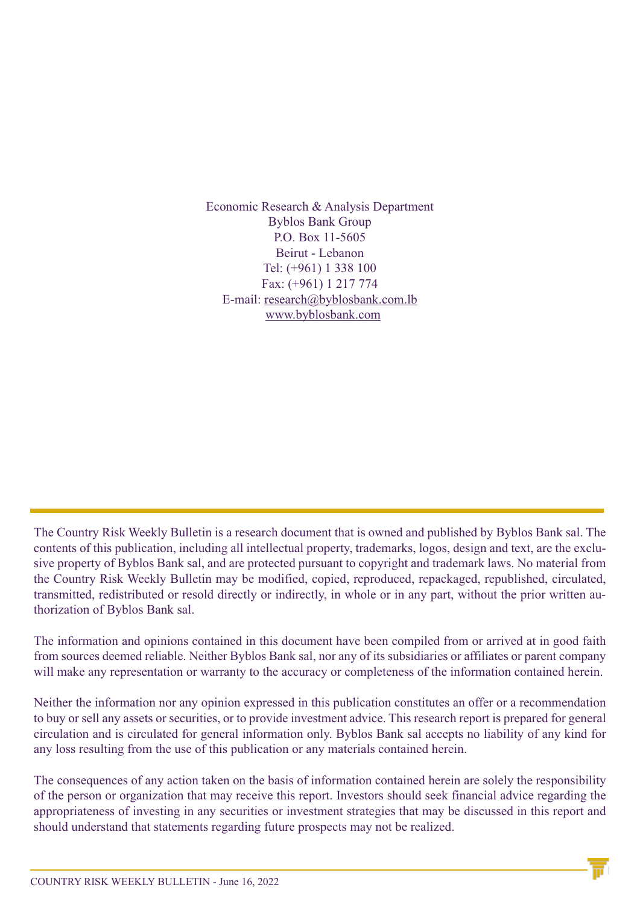Economic Research & Analysis Department Byblos Bank Group P.O. Box 11-5605 Beirut - Lebanon Tel: (+961) 1 338 100 Fax: (+961) 1 217 774 E-mail: research@byblosbank.com.lb www.byblosbank.com

The Country Risk Weekly Bulletin is a research document that is owned and published by Byblos Bank sal. The contents of this publication, including all intellectual property, trademarks, logos, design and text, are the exclusive property of Byblos Bank sal, and are protected pursuant to copyright and trademark laws. No material from the Country Risk Weekly Bulletin may be modified, copied, reproduced, repackaged, republished, circulated, transmitted, redistributed or resold directly or indirectly, in whole or in any part, without the prior written authorization of Byblos Bank sal.

The information and opinions contained in this document have been compiled from or arrived at in good faith from sources deemed reliable. Neither Byblos Bank sal, nor any of its subsidiaries or affiliates or parent company will make any representation or warranty to the accuracy or completeness of the information contained herein.

Neither the information nor any opinion expressed in this publication constitutes an offer or a recommendation to buy or sell any assets or securities, or to provide investment advice. This research report is prepared for general circulation and is circulated for general information only. Byblos Bank sal accepts no liability of any kind for any loss resulting from the use of this publication or any materials contained herein.

The consequences of any action taken on the basis of information contained herein are solely the responsibility of the person or organization that may receive this report. Investors should seek financial advice regarding the appropriateness of investing in any securities or investment strategies that may be discussed in this report and should understand that statements regarding future prospects may not be realized.